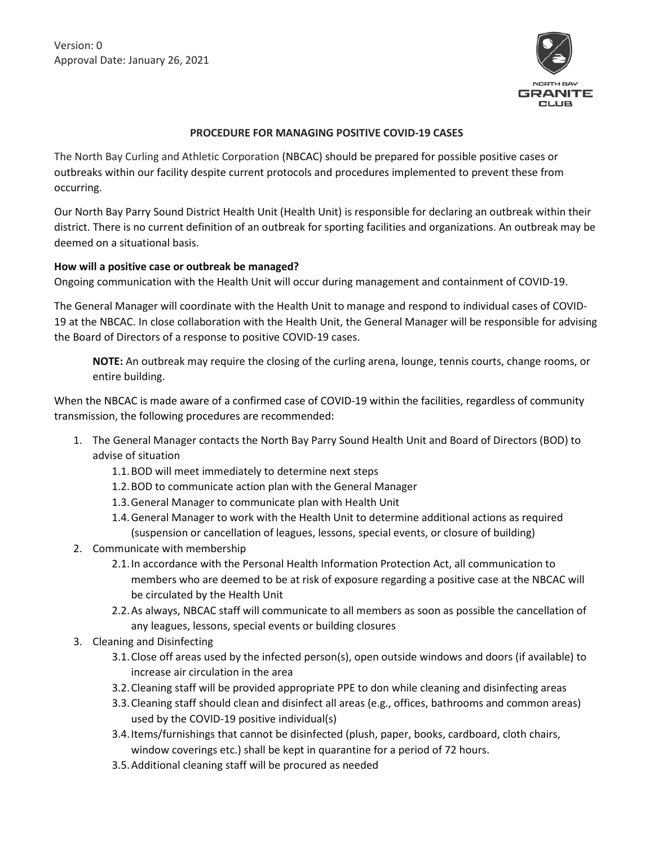Version: 0 Approval Date: January 26, 2021



## **PROCEDURE FOR MANAGING POSITIVE COVID-19 CASES**

The North Bay Curling and Athletic Corporation (NBCAC) should be prepared for possible positive cases or outbreaks within our facility despite current protocols and procedures implemented to prevent these from occurring.

Our North Bay Parry Sound District Health Unit (Health Unit) is responsible for declaring an outbreak within their district. There is no current definition of an outbreak for sporting facilities and organizations. An outbreak may be deemed on a situational basis.

## **How will a positive case or outbreak be managed?**

Ongoing communication with the Health Unit will occur during management and containment of COVID-19.

The General Manager will coordinate with the Health Unit to manage and respond to individual cases of COVID-19 at the NBCAC. In close collaboration with the Health Unit, the General Manager will be responsible for advising the Board of Directors of a response to positive COVID-19 cases.

**NOTE:** An outbreak may require the closing of the curling arena, lounge, tennis courts, change rooms, or entire building.

When the NBCAC is made aware of a confirmed case of COVID-19 within the facilities, regardless of community transmission, the following procedures are recommended:

- 1. The General Manager contacts the North Bay Parry Sound Health Unit and Board of Directors (BOD) to advise of situation
	- 1.1.BOD will meet immediately to determine next steps
	- 1.2.BOD to communicate action plan with the General Manager
	- 1.3.General Manager to communicate plan with Health Unit
	- 1.4.General Manager to work with the Health Unit to determine additional actions as required (suspension or cancellation of leagues, lessons, special events, or closure of building)
- 2. Communicate with membership
	- 2.1.In accordance with the Personal Health Information Protection Act, all communication to members who are deemed to be at risk of exposure regarding a positive case at the NBCAC will be circulated by the Health Unit
	- 2.2.As always, NBCAC staff will communicate to all members as soon as possible the cancellation of any leagues, lessons, special events or building closures
- 3. Cleaning and Disinfecting
	- 3.1.Close off areas used by the infected person(s), open outside windows and doors (if available) to increase air circulation in the area
	- 3.2.Cleaning staff will be provided appropriate PPE to don while cleaning and disinfecting areas
	- 3.3.Cleaning staff should clean and disinfect all areas (e.g., offices, bathrooms and common areas) used by the COVID-19 positive individual(s)
	- 3.4.Items/furnishings that cannot be disinfected (plush, paper, books, cardboard, cloth chairs, window coverings etc.) shall be kept in quarantine for a period of 72 hours.
	- 3.5.Additional cleaning staff will be procured as needed